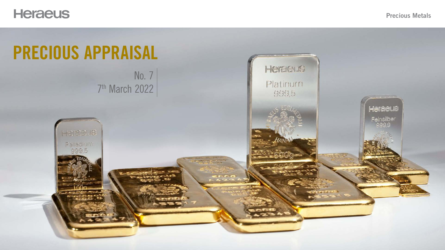# Heraeus

# PRECIOUS APPRAISAL No. 7

### Precious Metals



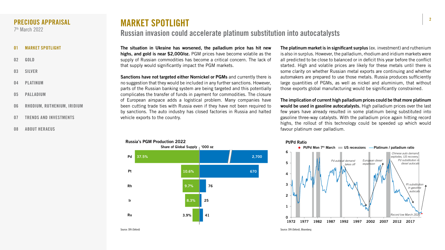2



The situation in Ukraine has worsened, the palladium price has hit new highs, and gold is near \$2,000/oz. PGM prices have become volatile as the supply of Russian commodities has become a critical concern. The lack of that supply would significantly impact the PGM markets.

Sanctions have not targeted either Nornickel or PGMs and currently there is no suggestion that they would be included in any further sanctions. However, parts of the Russian banking system are being targeted and this potentially complicates the transfer of funds in payment for commodities. The closure of European airspace adds a logistical problem. Many companies have been cutting trade ties with Russia even if they have not been required to by sanctions. The auto industry has closed factories in Russia and halted vehicle exports to the country.

The platinum market is in significant surplus (ex. investment) and ruthenium is also in surplus. However, the palladium, rhodium and iridium markets were all predicted to be close to balanced or in deficit this year before the conflict started. High and volatile prices are likely for these metals until there is some clarity on whether Russian metal exports are continuing and whether automakers are prepared to use those metals. Russia produces sufficiently large quantities of PGMs, as well as nickel and aluminium, that without those exports global manufacturing would be significantly constrained.

The implication of current high palladium prices could be that more platinum would be used in gasoline autocatalysts. High palladium prices over the last few years have already resulted in some platinum being substituted into gasoline three-way catalysts. With the palladium price again hitting record highs, the rollout of this technology could be speeded up which would favour platinum over palladium.

- 01 MARKET SPOTLIGHT
- 02 [GOLD](#page-2-0)
- 03 [SILVER](#page-3-0)
- 04 [PLATINUM](#page-4-0)
- 05 [PALLADIUM](#page-5-0)
- 06 [RHODIUM, RUTHENIUM, IRIDIUM](#page-6-0)
- 07 [TRENDS AND INVESTMENTS](#page-7-0)
- 08 [ABOUT HERAEUS](#page-8-0)

### <span id="page-1-0"></span>PRECIOUS APPRAISAL

7th March 2022

# MARKET SPOTLIGHT Russian invasion could accelerate platinum substitution into autocatalysts



### Russia's PGM Production 2022



Source: SFA (Oxford), Bloomberg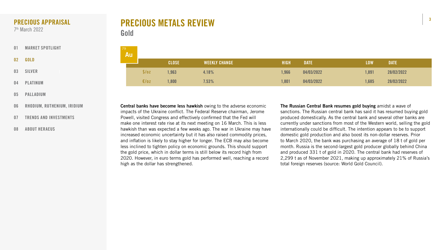



# PRECIOUS METALS REVIEW Gold

The Russian Central Bank resumes gold buying amidst a wave of sanctions. The Russian central bank has said it has resumed buying gold produced domestically. As the central bank and several other banks are currently under sanctions from most of the Western world, selling the gold internationally could be difficult. The intention appears to be to support domestic gold production and also boost its non-dollar reserves. Prior to March 2020, the bank was purchasing an average of 18 t of gold per month. Russia is the second-largest gold producer globally behind China and produced 331 t of gold in 2020. The central bank had reserves of 2,299 t as of November 2021, making up approximately 21% of Russia's total foreign reserves (source: World Gold Council).

| 79<br>Au J |       |              |                      |             |             |            |             |
|------------|-------|--------------|----------------------|-------------|-------------|------------|-------------|
|            |       | <b>CLOSE</b> | <b>WEEKLY CHANGE</b> | <b>HIGH</b> | <b>DATE</b> | <b>LOW</b> | <b>DATE</b> |
|            | \$/oz | ,963         | 4.18%                | 1,966       | 04/03/2022  | 1,891      | 28/02/2022  |
|            | E/oz  | ,800         | 7.53%                | 1,801       | 04/03/2022  | 1,685      | 28/02/2022  |

Central banks have become less hawkish owing to the adverse economic impacts of the Ukraine conflict. The Federal Reserve chairman, Jerome Powell, visited Congress and effectively confirmed that the Fed will make one interest rate rise at its next meeting on 16 March. This is less hawkish than was expected a few weeks ago. The war in Ukraine may have increased economic uncertainty but it has also raised commodity prices, and inflation is likely to stay higher for longer. The ECB may also become less inclined to tighten policy on economic grounds. This should support the gold price, which in dollar terms is still below its record high from 2020. However, in euro terms gold has performed well, reaching a record high as the dollar has strengthened.

- [01](#page-1-0) [MARKET SPOTLIGHT](#page-1-0)
- 02 GOLD
- 03 [SILVER](#page-3-0)
- 04 [PLATINUM](#page-4-0)
- 05 [PALLADIUM](#page-5-0)
- 06 [RHODIUM, RUTHENIUM, IRIDIUM](#page-6-0)
- 07 [TRENDS AND INVESTMENTS](#page-7-0)
- 08 [ABOUT HERAEUS](#page-8-0)

### <span id="page-2-0"></span>PRECIOUS APPRAISAL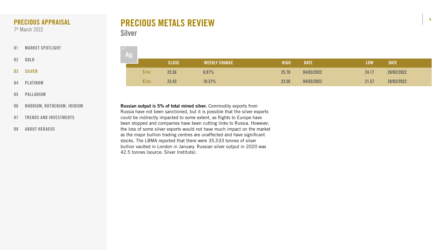

| $\left(\begin{array}{c} 47 \\ \end{array}\right)$ |       |              |                      |             |             |            |             |
|---------------------------------------------------|-------|--------------|----------------------|-------------|-------------|------------|-------------|
|                                                   |       | <b>CLOSE</b> | <b>WEEKLY CHANGE</b> | <b>HIGH</b> | <b>DATE</b> | <b>LOW</b> | <b>DATE</b> |
|                                                   | \$/oz | 25.56        | 6.97%                | 25.70       | 04/03/2022  | 24.17      | 28/02/2022  |
|                                                   | E/OZ  | 23.43        | 10.37%               | 23.56       | 04/03/2022  | 21.57      | 28/02/2022  |

# PRECIOUS METALS REVIEW Silver

Russian output is 5% of total mined silver. Commodity exports from Russia have not been sanctioned, but it is possible that the silver exports could be indirectly impacted to some extent, as flights to Europe have been stopped and companies have been cutting links to Russia. However, the loss of some silver exports would not have much impact on the market as the major bullion trading centres are unaffected and have significant stocks. The LBMA reported that there were 35,533 tonnes of silver bullion vaulted in London in January. Russian silver output in 2020 was

42.5 tonnes (source: Silver Institute).

- [01](#page-1-0) [MARKET SPOTLIGHT](#page-1-0)
- 02 [GOLD](#page-2-0)
- 03 SILVER
- 04 [PLATINUM](#page-4-0)
- 05 [PALLADIUM](#page-5-0)
- 06 [RHODIUM, RUTHENIUM, IRIDIUM](#page-6-0)
- 07 [TRENDS AND INVESTMENTS](#page-7-0)
- 08 [ABOUT HERAEUS](#page-8-0)

### <span id="page-3-0"></span>PRECIOUS APPRAISAL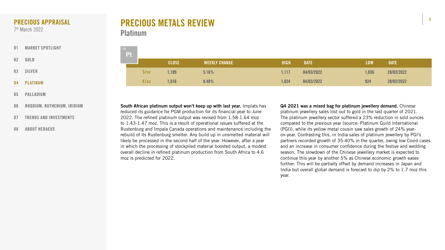





| 78 | Pt |       |              |                      |             |             |            |             |
|----|----|-------|--------------|----------------------|-------------|-------------|------------|-------------|
|    |    |       | <b>CLOSE</b> | <b>WEEKLY CHANGE</b> | <b>HIGH</b> | <b>DATE</b> | <b>LOW</b> | <b>DATE</b> |
|    |    | \$/oz | 1,109        | 5.16%                | 1,117       | 04/03/2022  | 1,036      | 28/02/2022  |
|    |    | E/oz  | ,016         | 8.48%                | 1,024       | 04/03/2022  | 924        | 28/02/2022  |

# PRECIOUS METALS REVIEW Platinum

Q4 2021 was a mixed bag for platinum jewellery demand. Chinese platinum jewellery sales lost out to gold in the last quarter of 2021. The platinum jewellery sector suffered a 23% reduction in sold ounces compared to the previous year (source: Platinum Guild International (PGI)), while its yellow metal cousin saw sales growth of 24% yearon-year. Contrasting this, in India sales of platinum jewellery by PGI's partners recorded growth of 35-40% in the quarter, owing low Covid cases and an increase in consumer confidence during the festive and wedding season. The slowdown of the Chinese jewellery market is expected to continue this year by another 5% as Chinese economic growth eases further. This will be partially offset by demand increases in Japan and India but overall global demand is forecast to dip by 2% to 1.7 moz this year.

South African platinum output won't keep up with last year. Implats has reduced its guidance for PGM production for its financial year to June 2022. The refined platinum output was revised from 1.58-1.64 moz to 1.43-1.47 moz. This is a result of operational issues suffered at the Rustenburg and Impala Canada operations and maintenance including the rebuild of its Rustenburg smelter. Any build up in unsmelted material will likely be processed in the second half of the year. However, after a year in which the processing of stockpiled material boosted output, a modest overall decline in refined platinum production from South Africa to 4.6 moz is predicted for 2022.

- [01](#page-1-0) [MARKET SPOTLIGHT](#page-1-0)
- 02 [GOLD](#page-2-0)
- 03 [SILVER](#page-3-0)
- 04 PLATINUM
- 05 [PALLADIUM](#page-5-0)
- 06 [RHODIUM, RUTHENIUM, IRIDIUM](#page-6-0)
- 07 [TRENDS AND INVESTMENTS](#page-7-0)
- 08 [ABOUT HERAEUS](#page-8-0)

### <span id="page-4-0"></span>PRECIOUS APPRAISAL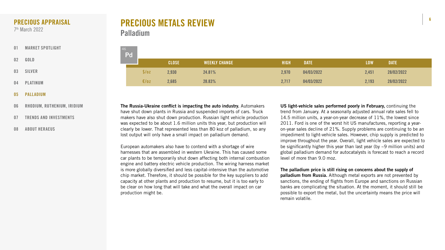







| 46 | Pd |       |              |                      |             |             |            |             |
|----|----|-------|--------------|----------------------|-------------|-------------|------------|-------------|
|    |    |       | <b>CLOSE</b> | <b>WEEKLY CHANGE</b> | <b>HIGH</b> | <b>DATE</b> | <b>LOW</b> | <b>DATE</b> |
|    |    | \$/oz | 2,930        | 24.81%               | 2,970       | 04/03/2022  | 2,451      | 28/02/2022  |
|    |    | E/oz  | 2,685        | 28.83%               | 2,717       | 04/03/2022  | 2,193      | 28/02/2022  |

US light-vehicle sales performed poorly in February, continuing the trend from January. At a seasonally adjusted annual rate sales fell to 14.5 million units, a year-on-year decrease of 11%, the lowest since 2011. Ford is one of the worst hit US manufactures, reporting a yearon-year sales decline of 21%. Supply problems are continuing to be an impediment to light-vehicle sales. However, chip supply is predicted to improve throughout the year. Overall, light vehicle sales are expected to be significantly higher this year than last year (by ~9 million units) and global palladium demand for autocatalysts is forecast to reach a record level of more than 9.0 moz.

The palladium price is still rising on concerns about the supply of palladium from Russia. Although metal exports are not prevented by sanctions, the ending of flights from Europe and sanctions on Russian banks are complicating the situation. At the moment, it should still be possible to export the metal, but the uncertainty means the price will remain volatile.

The Russia-Ukraine conflict is impacting the auto industry. Automakers have shut down plants in Russia and suspended imports of cars. Truck makers have also shut down production. Russian light vehicle production was expected to be about 1.6 million units this year, but production will clearly be lower. That represented less than 80 koz of palladium, so any lost output will only have a small impact on palladium demand.

European automakers also have to contend with a shortage of wire harnesses that are assembled in western Ukraine. This has caused some car plants to be temporarily shut down affecting both internal combustion engine and battery electric vehicle production. The wiring harness market is more globally diversified and less capital-intensive than the automotive chip market. Therefore, it should be possible for the key suppliers to add capacity at other plants and production to resume, but it is too early to be clear on how long that will take and what the overall impact on car production might be.

# PRECIOUS METALS REVIEW Palladium

- [01](#page-1-0) [MARKET SPOTLIGHT](#page-1-0)
- 02 [GOLD](#page-2-0)
- 03 [SILVER](#page-3-0)
- 04 [PLATINUM](#page-4-0)
- 05 PALLADIUM
- 06 [RHODIUM, RUTHENIUM, IRIDIUM](#page-6-0)
- 07 [TRENDS AND INVESTMENTS](#page-7-0)
- 08 [ABOUT HERAEUS](#page-8-0)

### <span id="page-5-0"></span>PRECIOUS APPRAISAL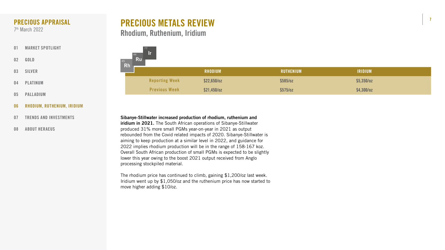

| <b>RHODIUM</b> | RUTHENIUM | <b>IRIDIUM</b> |
|----------------|-----------|----------------|
| $$22,650$ /oz  | \$585/02  | $$5,350$ /oz   |
| $521,450$ /oz  | \$575/oz  | $$4,300$ /oz   |

# PRECIOUS METALS REVIEW Rhodium, Ruthenium, Iridium



- [01](#page-1-0) [MARKET SPOTLIGHT](#page-1-0)
- 02 [GOLD](#page-2-0)
- 03 [SILVER](#page-3-0)
- 04 [PLATINUM](#page-4-0)
- 05 [PALLADIUM](#page-5-0)
- 06 RHODIUM, RUTHENIUM, IRIDIUM
- 07 [TRENDS AND INVESTMENTS](#page-7-0)
- 08 [ABOUT HERAEUS](#page-8-0)

Sibanye-Stillwater increased production of rhodium, ruthenium and iridium in 2021. The South African operations of Sibanye-Stillwater produced 31% more small PGMs year-on-year in 2021 as output rebounded from the Covid related impacts of 2020. Sibanye-Stillwater is aiming to keep production at a similar level in 2022, and guidance for 2022 implies rhodium production will be in the range of 158-167 koz. Overall South African production of small PGMs is expected to be slightly lower this year owing to the boost 2021 output received from Anglo processing stockpiled material.

The rhodium price has continued to climb, gaining \$1,200/oz last week. Iridium went up by \$1,050/oz and the ruthenium price has now started to move higher adding \$10/oz.

### <span id="page-6-0"></span>PRECIOUS APPRAISAL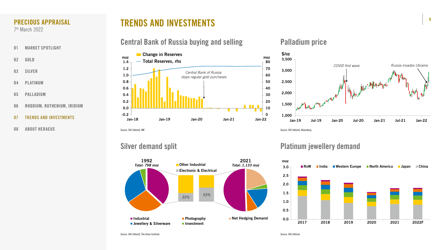# TRENDS AND INVESTMENTS

## Central Bank of Russia buying and selling The Palladium price









- [01](#page-1-0) [MARKET SPOTLIGHT](#page-1-0)
- 02 [GOLD](#page-2-0)
- 03 [SILVER](#page-3-0)
- 04 [PLATINUM](#page-4-0)
- 05 [PALLADIUM](#page-5-0)
- 06 [RHODIUM, RUTHENIUM, IRIDIUM](#page-6-0)
- 07 TRENDS AND INVESTMENTS
- 08 [ABOUT HERAEUS](#page-8-0)

### <span id="page-7-0"></span>PRECIOUS APPRAISAL